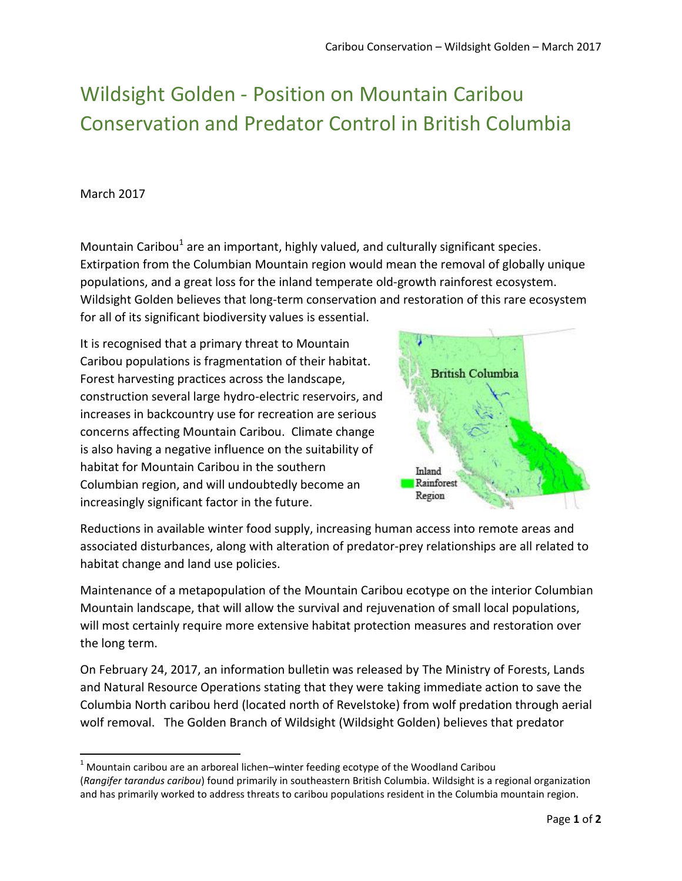## Wildsight Golden - Position on Mountain Caribou Conservation and Predator Control in British Columbia

## March 2017

 $\overline{\phantom{a}}$ 

Mountain Caribou<sup>1</sup> are an important, highly valued, and culturally significant species. Extirpation from the Columbian Mountain region would mean the removal of globally unique populations, and a great loss for the inland temperate old-growth rainforest ecosystem. Wildsight Golden believes that long-term conservation and restoration of this rare ecosystem for all of its significant biodiversity values is essential.

It is recognised that a primary threat to Mountain Caribou populations is fragmentation of their habitat. Forest harvesting practices across the landscape, construction several large hydro-electric reservoirs, and increases in backcountry use for recreation are serious concerns affecting Mountain Caribou. Climate change is also having a negative influence on the suitability of habitat for Mountain Caribou in the southern Columbian region, and will undoubtedly become an increasingly significant factor in the future.



Reductions in available winter food supply, increasing human access into remote areas and associated disturbances, along with alteration of predator-prey relationships are all related to habitat change and land use policies.

Maintenance of a metapopulation of the Mountain Caribou ecotype on the interior Columbian Mountain landscape, that will allow the survival and rejuvenation of small local populations, will most certainly require more extensive habitat protection measures and restoration over the long term.

On February 24, 2017, an information bulletin was released by The Ministry of Forests, Lands and Natural Resource Operations stating that they were taking immediate action to save the Columbia North caribou herd (located north of Revelstoke) from wolf predation through aerial wolf removal. The Golden Branch of Wildsight (Wildsight Golden) believes that predator

 $1$  Mountain caribou are an arboreal lichen–winter feeding ecotype of the Woodland Caribou (*Rangifer tarandus caribou*) found primarily in southeastern British Columbia. Wildsight is a regional organization and has primarily worked to address threats to caribou populations resident in the Columbia mountain region.